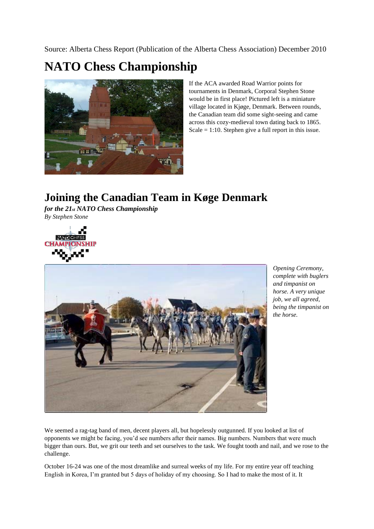Source: Alberta Chess Report (Publication of the Alberta Chess Association) December 2010

## **NATO Chess Championship**



If the ACA awarded Road Warrior points for tournaments in Denmark, Corporal Stephen Stone would be in first place! Pictured left is a miniature village located in Kjøge, Denmark. Between rounds, the Canadian team did some sight-seeing and came across this cozy-medieval town dating back to 1865. Scale  $= 1:10$ . Stephen give a full report in this issue.

## **Joining the Canadian Team in Køge Denmark**

*for the 21st NATO Chess Championship By Stephen Stone*





*Opening Ceremony, complete with buglers and timpanist on horse. A very unique job, we all agreed, being the timpanist on the horse.*

We seemed a rag-tag band of men, decent players all, but hopelessly outgunned. If you looked at list of opponents we might be facing, you'd see numbers after their names. Big numbers. Numbers that were much bigger than ours. But, we grit our teeth and set ourselves to the task. We fought tooth and nail, and we rose to the challenge.

October 16-24 was one of the most dreamlike and surreal weeks of my life. For my entire year off teaching English in Korea, I'm granted but 5 days of holiday of my choosing. So I had to make the most of it. It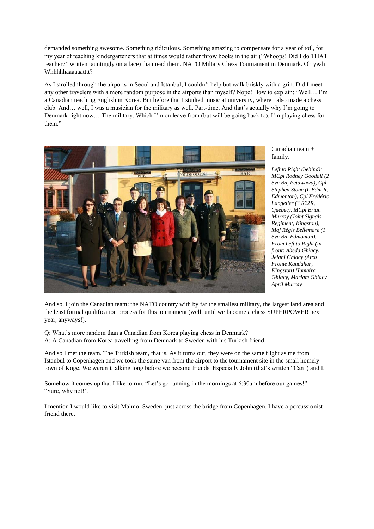demanded something awesome. Something ridiculous. Something amazing to compensate for a year of toil, for my year of teaching kindergarteners that at times would rather throw books in the air ("Whoops! Did I do THAT teacher?" written tauntingly on a face) than read them. NATO Miltary Chess Tournament in Denmark. Oh yeah! Whhhhhaaaaaatttt?

As I strolled through the airports in Seoul and Istanbul, I couldn't help but walk briskly with a grin. Did I meet any other travelers with a more random purpose in the airports than myself? Nope! How to explain: "Well… I'm a Canadian teaching English in Korea. But before that I studied music at university, where I also made a chess club. And… well, I was a musician for the military as well. Part-time. And that's actually why I'm going to Denmark right now… The military. Which I'm on leave from (but will be going back to). I'm playing chess for them."



Canadian team + family.

*Left to Right (behind): MCpl Rodney Goodall (2 Svc Bn, Petawawa), Cpl Stephen Stone (L Edm R, Edmonton), Cpl Frédéric Langelier (3 R22R, Quebec), MCpl Brian Murray (Joint Signals Regiment, Kingston), Maj Régis Bellemare (1 Svc Bn, Edmonton), From Left to Right (in front: Abeda Ghiacy, Jelani Ghiacy (Atco Fronte Kandahar, Kingston) Humaira Ghiacy, Mariam Ghiacy April Murray*

And so, I join the Canadian team: the NATO country with by far the smallest military, the largest land area and the least formal qualification process for this tournament (well, until we become a chess SUPERPOWER next year, anyways!).

Q: What's more random than a Canadian from Korea playing chess in Denmark? A: A Canadian from Korea travelling from Denmark to Sweden with his Turkish friend.

And so I met the team. The Turkish team, that is. As it turns out, they were on the same flight as me from Istanbul to Copenhagen and we took the same van from the airport to the tournament site in the small homely town of Koge. We weren't talking long before we became friends. Especially John (that's written "Can") and I.

Somehow it comes up that I like to run. "Let's go running in the mornings at 6:30am before our games!" "Sure, why not!".

I mention I would like to visit Malmo, Sweden, just across the bridge from Copenhagen. I have a percussionist friend there.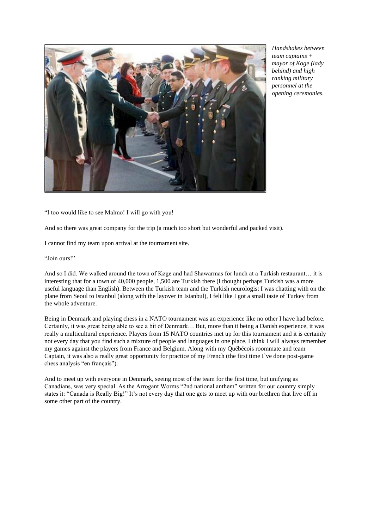

*Handshakes between team captains + mayor of Koge (lady behind) and high ranking military personnel at the opening ceremonies.* 

"I too would like to see Malmo! I will go with you!

And so there was great company for the trip (a much too short but wonderful and packed visit).

I cannot find my team upon arrival at the tournament site.

"Join ours!"

And so I did. We walked around the town of Køge and had Shawarmas for lunch at a Turkish restaurant… it is interesting that for a town of 40,000 people, 1,500 are Turkish there (I thought perhaps Turkish was a more useful language than English). Between the Turkish team and the Turkish neurologist I was chatting with on the plane from Seoul to Istanbul (along with the layover in Istanbul), I felt like I got a small taste of Turkey from the whole adventure.

Being in Denmark and playing chess in a NATO tournament was an experience like no other I have had before. Certainly, it was great being able to see a bit of Denmark… But, more than it being a Danish experience, it was really a multicultural experience. Players from 15 NATO countries met up for this tournament and it is certainly not every day that you find such a mixture of people and languages in one place. I think I will always remember my games against the players from France and Belgium. Along with my Québécois roommate and team Captain, it was also a really great opportunity for practice of my French (the first time  $\Gamma$  ve done post-game chess analysis "en français").

And to meet up with everyone in Denmark, seeing most of the team for the first time, but unifying as Canadians, was very special. As the Arrogant Worms "2nd national anthem" written for our country simply states it: "Canada is Really Big!" It's not every day that one gets to meet up with our brethren that live off in some other part of the country.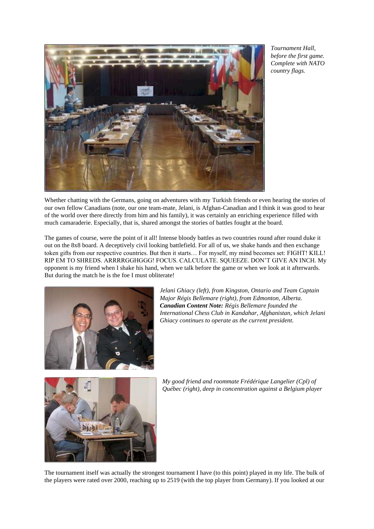

*Tournament Hall, before the first game. Complete with NATO country flags.*

Whether chatting with the Germans, going on adventures with my Turkish friends or even hearing the stories of our own fellow Canadians (note, our one team-mate, Jelani, is Afghan-Canadian and I think it was good to hear of the world over there directly from him and his family), it was certainly an enriching experience filled with much camaraderie. Especially, that is, shared amongst the stories of battles fought at the board.

The games of course, were the point of it all! Intense bloody battles as two countries round after round duke it out on the 8x8 board. A deceptively civil looking battlefield. For all of us, we shake hands and then exchange token gifts from our respective countries. But then it starts… For myself, my mind becomes set: FIGHT! KILL! RIP EM TO SHREDS. ARRRRGGHGGG! FOCUS. CALCULATE. SQUEEZE. DON'T GIVE AN INCH. My opponent is my friend when I shake his hand, when we talk before the game or when we look at it afterwards. But during the match he is the foe I must obliterate!



*Jelani Ghiacy (left), from Kingston, Ontario and Team Captain Major Régis Bellemare (right), from Edmonton, Alberta. Canadian Content Note: Régis Bellemare founded the International Chess Club in Kandahar, Afghanistan, which Jelani Ghiacy continues to operate as the current president.*



*My good friend and roommate Frédérique Langelier (Cpl) of Québec (right), deep in concentration against a Belgium player*

The tournament itself was actually the strongest tournament I have (to this point) played in my life. The bulk of the players were rated over 2000, reaching up to 2519 (with the top player from Germany). If you looked at our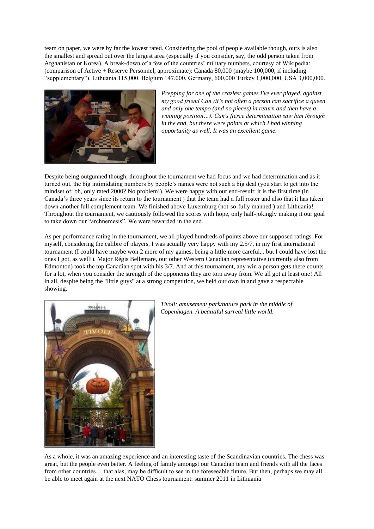team on paper, we were by far the lowest rated. Considering the pool of people available though, ours is also the smallest and spread out over the largest area (especially if you consider, say, the odd person taken from Afghanistan or Korea). A break-down of a few of the countries' military numbers, courtesy of Wikipedia: (comparison of Active + Reserve Personnel, approximate): Canada 80,000 (maybe 100,000, if including "supplementary"). Lithuania 115,000. Belgium 147,000, Germany, 600,000 Turkey 1,000,000, USA 3,000,000.



*Prepping for one of the craziest games I've ever played, against my good friend Can (it's not often a person can sacrifice a queen and only one tempo (and no pieces) in return and then have a winning position…). Can's fierce determination saw him through in the end, but there were points at which I had winning opportunity as well. It was an excellent game.*

Despite being outgunned though, throughout the tournament we had focus and we had determination and as it turned out, the big intimidating numbers by people's names were not such a big deal (you start to get into the mindset of: oh, only rated 2000? No problem!). We were happy with our end-result: it is the first time (in Canada's three years since its return to the tournament ) that the team had a full roster and also that it has taken down another full complement team. We finished above Luxemburg (not-so-fully manned ) and Lithuania! Throughout the tournament, we cautiously followed the scores with hope, only half-jokingly making it our goal to take down our "archnemesis". We were rewarded in the end.

As per performance rating in the tournament, we all played hundreds of points above our supposed ratings. For myself, considering the calibre of players, I was actually very happy with my 2.5/7, in my first international tournament (I could have maybe won 2 more of my games, being a little more careful... but I could have lost the ones I got, as well!). Major Régis Bellemare, our other Western Canadian representative (currently also from Edmonton) took the top Canadian spot with his 3/7. And at this tournament, any win a person gets there counts for a lot, when you consider the strength of the opponents they are torn away from. We all got at least one! All in all, despite being the "little guys" at a strong competition, we held our own in and gave a respectable showing.



*Tivoli: amusement park/nature park in the middle of Copenhagen. A beautiful surreal little world.*

As a whole, it was an amazing experience and an interesting taste of the Scandinavian countries. The chess was great, but the people even better. A feeling of family amongst our Canadian team and friends with all the faces from other countries… that alas, may be difficult to see in the foreseeable future. But then, perhaps we may all be able to meet again at the next NATO Chess tournament: summer 2011 in Lithuania